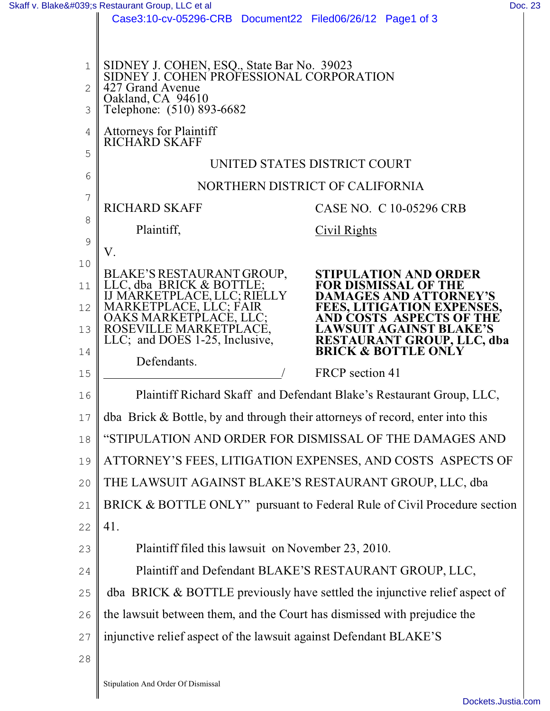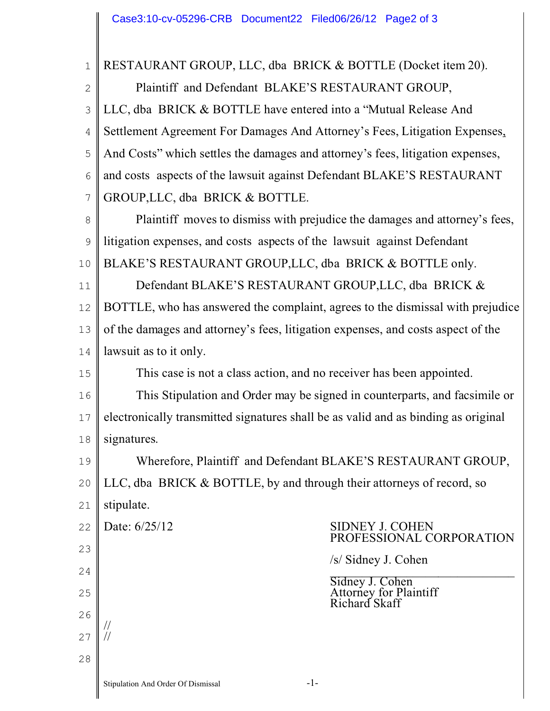| $\mathbf{1}$   | RESTAURANT GROUP, LLC, dba BRICK & BOTTLE (Docket item 20).                        |
|----------------|------------------------------------------------------------------------------------|
| $\mathbf{2}$   | Plaintiff and Defendant BLAKE'S RESTAURANT GROUP,                                  |
| 3              | LLC, dba BRICK & BOTTLE have entered into a "Mutual Release And                    |
| $\overline{4}$ | Settlement Agreement For Damages And Attorney's Fees, Litigation Expenses,         |
| 5              | And Costs" which settles the damages and attorney's fees, litigation expenses,     |
| 6              | and costs aspects of the lawsuit against Defendant BLAKE'S RESTAURANT              |
| $\overline{7}$ | GROUP, LLC, dba BRICK & BOTTLE.                                                    |
| 8              | Plaintiff moves to dismiss with prejudice the damages and attorney's fees,         |
| $\mathcal{G}$  | litigation expenses, and costs aspects of the lawsuit against Defendant            |
| 10             | BLAKE'S RESTAURANT GROUP, LLC, dba BRICK & BOTTLE only.                            |
| 11             | Defendant BLAKE'S RESTAURANT GROUP, LLC, dba BRICK &                               |
| 12             | BOTTLE, who has answered the complaint, agrees to the dismissal with prejudice     |
| 13             | of the damages and attorney's fees, litigation expenses, and costs aspect of the   |
| 14             | lawsuit as to it only.                                                             |
| 15             | This case is not a class action, and no receiver has been appointed.               |
| 16             | This Stipulation and Order may be signed in counterparts, and facsimile or         |
| 17             | electronically transmitted signatures shall be as valid and as binding as original |
| 18             | signatures.                                                                        |
| 19             | Wherefore, Plaintiff and Defendant BLAKE'S RESTAURANT GROUP,                       |
| 20             | LLC, dba BRICK & BOTTLE, by and through their attorneys of record, so              |
| 21             | stipulate.                                                                         |
| 22             | Date: 6/25/12<br><b>SIDNEY J. COHEN</b><br>PROFESSIONAL CORPORATION                |
| 23             | /s/ Sidney J. Cohen                                                                |
| 24             |                                                                                    |
| 25             | Sidney J. Cohen<br>Attorney for Plaintiff<br>Richard Skaff                         |
| 26             |                                                                                    |
| 27             |                                                                                    |
| 28             |                                                                                    |
|                |                                                                                    |

I